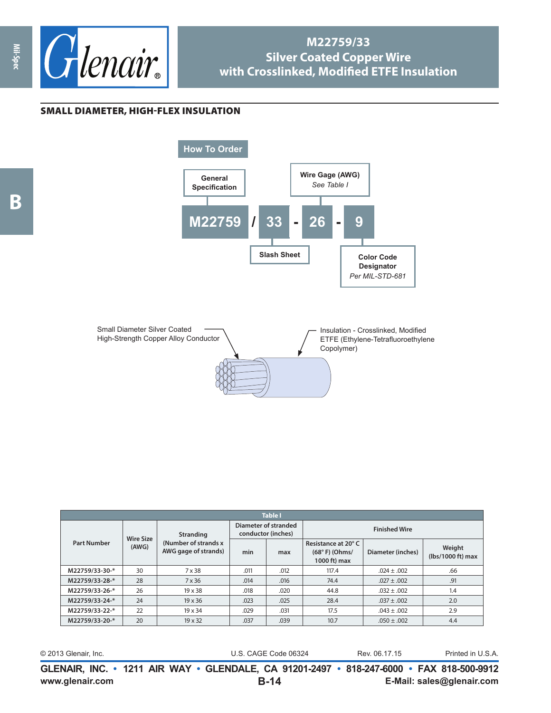

## **M22759/33 Silver Coated Copper Wire with Crosslinked, Modified ETFE Insulation**

## SMALL DIAMETER, HIGH-FLEX INSULATION





| <b>Table I</b>     |                           |                                                                   |                                            |      |                                                        |                   |                             |  |  |
|--------------------|---------------------------|-------------------------------------------------------------------|--------------------------------------------|------|--------------------------------------------------------|-------------------|-----------------------------|--|--|
| <b>Part Number</b> | <b>Wire Size</b><br>(AWG) | <b>Stranding</b><br>(Number of strands x)<br>AWG gage of strands) | Diameter of stranded<br>conductor (inches) |      | <b>Finished Wire</b>                                   |                   |                             |  |  |
|                    |                           |                                                                   | min                                        | max  | Resistance at 20°C<br>$(68° F)$ (Ohms/<br>1000 ft) max | Diameter (inches) | Weight<br>(lbs/1000 ft) max |  |  |
| M22759/33-30-*     | 30                        | 7 x 38                                                            | .011                                       | .012 | 117.4                                                  | $.024 \pm .002$   | .66                         |  |  |
| M22759/33-28-*     | 28                        | 7 x 36                                                            | .014                                       | .016 | 74.4                                                   | $.027 \pm .002$   | .91                         |  |  |
| M22759/33-26-*     | 26                        | $19 \times 38$                                                    | .018                                       | .020 | 44.8                                                   | $.032 \pm .002$   | 1.4                         |  |  |
| M22759/33-24-*     | 24                        | $19 \times 36$                                                    | .023                                       | .025 | 28.4                                                   | $.037 \pm .002$   | 2.0                         |  |  |
| M22759/33-22-*     | 22                        | $19 \times 34$                                                    | .029                                       | .031 | 17.5                                                   | $.043 \pm .002$   | 2.9                         |  |  |
| M22759/33-20-*     | 20                        | $19 \times 32$                                                    | .037                                       | .039 | 10.7                                                   | $.050 \pm .002$   | 4.4                         |  |  |

| © 2013 Glenair, Inc. | U.S. CAGE Code 06324                                                                     | Rev. 06.17.15 | Printed in U.S.A. |
|----------------------|------------------------------------------------------------------------------------------|---------------|-------------------|
|                      | GLENAIR, INC. • 1211 AIR WAY • GLENDALE, CA 91201-2497 • 818-247-6000 • FAX 818-500-9912 |               |                   |

**B**